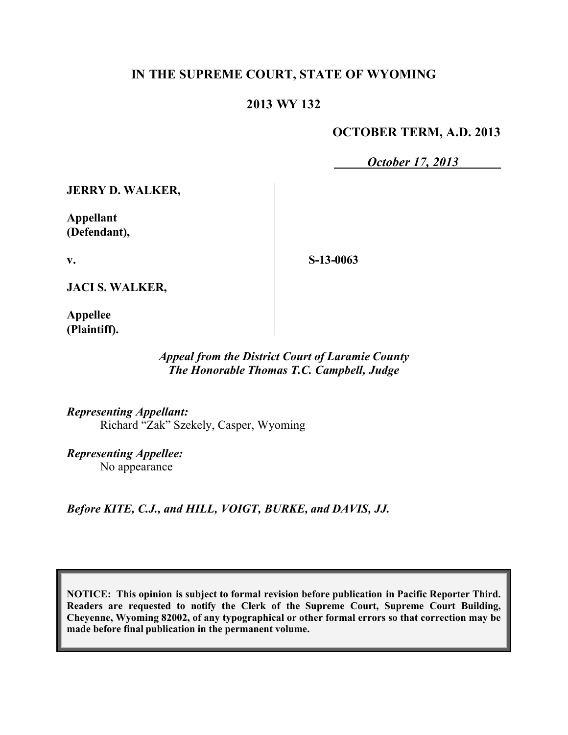# **IN THE SUPREME COURT, STATE OF WYOMING**

## **2013 WY 132**

#### **OCTOBER TERM, A.D. 2013**

*October 17, 2013*

**JERRY D. WALKER,**

**Appellant (Defendant),**

**S-13-0063**

**JACI S. WALKER,**

**Appellee (Plaintiff).**

**v.**

#### *Appeal from the District Court of Laramie County The Honorable Thomas T.C. Campbell, Judge*

*Representing Appellant:* Richard "Zak" Szekely, Casper, Wyoming

*Representing Appellee:* No appearance

*Before KITE, C.J., and HILL, VOIGT, BURKE, and DAVIS, JJ.*

**NOTICE: This opinion is subject to formal revision before publication in Pacific Reporter Third. Readers are requested to notify the Clerk of the Supreme Court, Supreme Court Building, Cheyenne, Wyoming 82002, of any typographical or other formal errors so that correction may be made before final publication in the permanent volume.**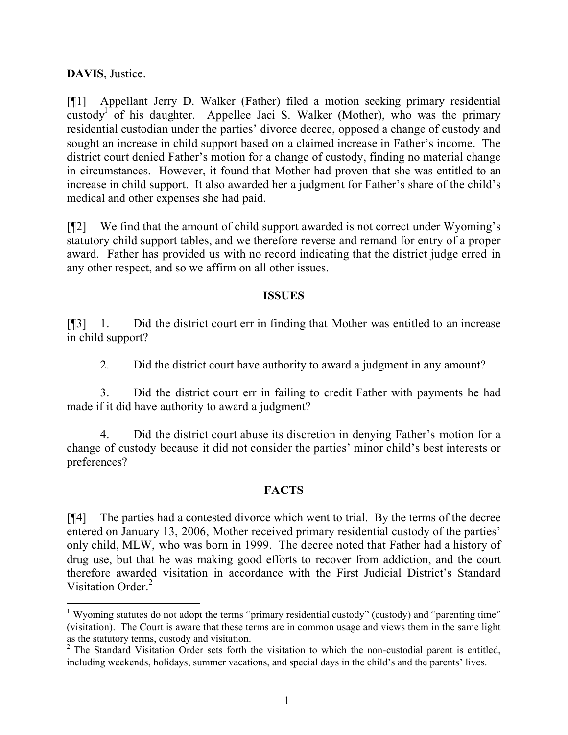**DAVIS**, Justice.

[¶1] Appellant Jerry D. Walker (Father) filed a motion seeking primary residential custody<sup>1</sup> of his daughter. Appellee Jaci S. Walker (Mother), who was the primary residential custodian under the parties' divorce decree, opposed a change of custody and sought an increase in child support based on a claimed increase in Father's income. The district court denied Father's motion for a change of custody, finding no material change in circumstances. However, it found that Mother had proven that she was entitled to an increase in child support. It also awarded her a judgment for Father's share of the child's medical and other expenses she had paid.

[¶2] We find that the amount of child support awarded is not correct under Wyoming's statutory child support tables, and we therefore reverse and remand for entry of a proper award. Father has provided us with no record indicating that the district judge erred in any other respect, and so we affirm on all other issues.

## **ISSUES**

[¶3] 1. Did the district court err in finding that Mother was entitled to an increase in child support?

2. Did the district court have authority to award a judgment in any amount?

3. Did the district court err in failing to credit Father with payments he had made if it did have authority to award a judgment?

4. Did the district court abuse its discretion in denying Father's motion for a change of custody because it did not consider the parties' minor child's best interests or preferences?

# **FACTS**

[¶4] The parties had a contested divorce which went to trial. By the terms of the decree entered on January 13, 2006, Mother received primary residential custody of the parties' only child, MLW, who was born in 1999. The decree noted that Father had a history of drug use, but that he was making good efforts to recover from addiction, and the court therefore awarded visitation in accordance with the First Judicial District's Standard Visitation Order.<sup>2</sup>

<sup>&</sup>lt;sup>1</sup> Wyoming statutes do not adopt the terms "primary residential custody" (custody) and "parenting time" (visitation). The Court is aware that these terms are in common usage and views them in the same light as the statutory terms, custody and visitation.

<sup>&</sup>lt;sup>2</sup> The Standard Visitation Order sets forth the visitation to which the non-custodial parent is entitled, including weekends, holidays, summer vacations, and special days in the child's and the parents' lives.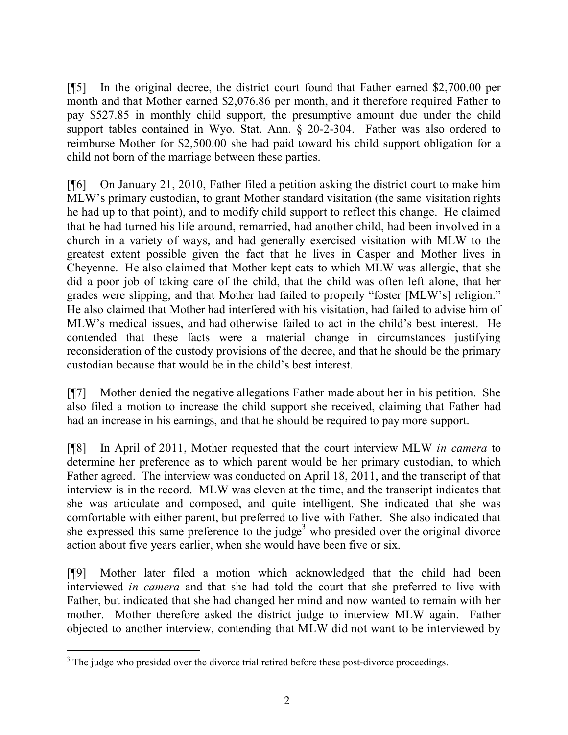[¶5] In the original decree, the district court found that Father earned \$2,700.00 per month and that Mother earned \$2,076.86 per month, and it therefore required Father to pay \$527.85 in monthly child support, the presumptive amount due under the child support tables contained in Wyo. Stat. Ann. § 20-2-304. Father was also ordered to reimburse Mother for \$2,500.00 she had paid toward his child support obligation for a child not born of the marriage between these parties.

[¶6] On January 21, 2010, Father filed a petition asking the district court to make him MLW's primary custodian, to grant Mother standard visitation (the same visitation rights he had up to that point), and to modify child support to reflect this change. He claimed that he had turned his life around, remarried, had another child, had been involved in a church in a variety of ways, and had generally exercised visitation with MLW to the greatest extent possible given the fact that he lives in Casper and Mother lives in Cheyenne. He also claimed that Mother kept cats to which MLW was allergic, that she did a poor job of taking care of the child, that the child was often left alone, that her grades were slipping, and that Mother had failed to properly "foster [MLW's] religion." He also claimed that Mother had interfered with his visitation, had failed to advise him of MLW's medical issues, and had otherwise failed to act in the child's best interest. He contended that these facts were a material change in circumstances justifying reconsideration of the custody provisions of the decree, and that he should be the primary custodian because that would be in the child's best interest.

[¶7] Mother denied the negative allegations Father made about her in his petition. She also filed a motion to increase the child support she received, claiming that Father had had an increase in his earnings, and that he should be required to pay more support.

[¶8] In April of 2011, Mother requested that the court interview MLW *in camera* to determine her preference as to which parent would be her primary custodian, to which Father agreed. The interview was conducted on April 18, 2011, and the transcript of that interview is in the record. MLW was eleven at the time, and the transcript indicates that she was articulate and composed, and quite intelligent. She indicated that she was comfortable with either parent, but preferred to live with Father. She also indicated that she expressed this same preference to the judge<sup>3</sup> who presided over the original divorce action about five years earlier, when she would have been five or six.

[¶9] Mother later filed a motion which acknowledged that the child had been interviewed *in camera* and that she had told the court that she preferred to live with Father, but indicated that she had changed her mind and now wanted to remain with her mother. Mother therefore asked the district judge to interview MLW again. Father objected to another interview, contending that MLW did not want to be interviewed by

 $\overline{a}$ <sup>3</sup> The judge who presided over the divorce trial retired before these post-divorce proceedings.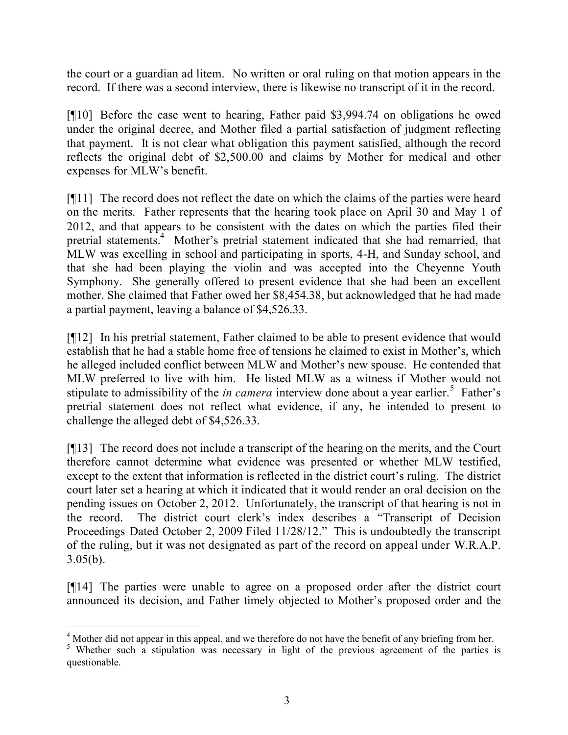the court or a guardian ad litem. No written or oral ruling on that motion appears in the record. If there was a second interview, there is likewise no transcript of it in the record.

[¶10] Before the case went to hearing, Father paid \$3,994.74 on obligations he owed under the original decree, and Mother filed a partial satisfaction of judgment reflecting that payment. It is not clear what obligation this payment satisfied, although the record reflects the original debt of \$2,500.00 and claims by Mother for medical and other expenses for MLW's benefit.

[¶11] The record does not reflect the date on which the claims of the parties were heard on the merits. Father represents that the hearing took place on April 30 and May 1 of 2012, and that appears to be consistent with the dates on which the parties filed their pretrial statements.<sup>4</sup> Mother's pretrial statement indicated that she had remarried, that MLW was excelling in school and participating in sports, 4-H, and Sunday school, and that she had been playing the violin and was accepted into the Cheyenne Youth Symphony. She generally offered to present evidence that she had been an excellent mother. She claimed that Father owed her \$8,454.38, but acknowledged that he had made a partial payment, leaving a balance of \$4,526.33.

[¶12] In his pretrial statement, Father claimed to be able to present evidence that would establish that he had a stable home free of tensions he claimed to exist in Mother's, which he alleged included conflict between MLW and Mother's new spouse. He contended that MLW preferred to live with him. He listed MLW as a witness if Mother would not stipulate to admissibility of the *in camera* interview done about a year earlier.<sup>5</sup> Father's pretrial statement does not reflect what evidence, if any, he intended to present to challenge the alleged debt of \$4,526.33.

[¶13] The record does not include a transcript of the hearing on the merits, and the Court therefore cannot determine what evidence was presented or whether MLW testified, except to the extent that information is reflected in the district court's ruling. The district court later set a hearing at which it indicated that it would render an oral decision on the pending issues on October 2, 2012. Unfortunately, the transcript of that hearing is not in the record. The district court clerk's index describes a "Transcript of Decision Proceedings Dated October 2, 2009 Filed 11/28/12." This is undoubtedly the transcript of the ruling, but it was not designated as part of the record on appeal under W.R.A.P.  $3.05(b)$ .

[¶14] The parties were unable to agree on a proposed order after the district court announced its decision, and Father timely objected to Mother's proposed order and the

 <sup>4</sup> Mother did not appear in this appeal, and we therefore do not have the benefit of any briefing from her.

<sup>&</sup>lt;sup>5</sup> Whether such a stipulation was necessary in light of the previous agreement of the parties is questionable.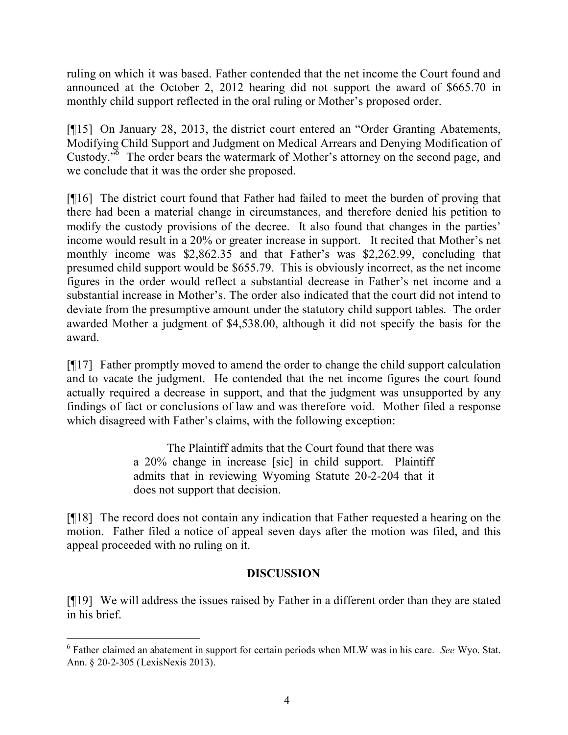ruling on which it was based. Father contended that the net income the Court found and announced at the October 2, 2012 hearing did not support the award of \$665.70 in monthly child support reflected in the oral ruling or Mother's proposed order.

[¶15] On January 28, 2013, the district court entered an "Order Granting Abatements, Modifying Child Support and Judgment on Medical Arrears and Denying Modification of Custody.<sup>36</sup> The order bears the watermark of Mother's attorney on the second page, and we conclude that it was the order she proposed.

[¶16] The district court found that Father had failed to meet the burden of proving that there had been a material change in circumstances, and therefore denied his petition to modify the custody provisions of the decree. It also found that changes in the parties' income would result in a 20% or greater increase in support. It recited that Mother's net monthly income was \$2,862.35 and that Father's was \$2,262.99, concluding that presumed child support would be \$655.79. This is obviously incorrect, as the net income figures in the order would reflect a substantial decrease in Father's net income and a substantial increase in Mother's. The order also indicated that the court did not intend to deviate from the presumptive amount under the statutory child support tables. The order awarded Mother a judgment of \$4,538.00, although it did not specify the basis for the award.

[¶17] Father promptly moved to amend the order to change the child support calculation and to vacate the judgment. He contended that the net income figures the court found actually required a decrease in support, and that the judgment was unsupported by any findings of fact or conclusions of law and was therefore void. Mother filed a response which disagreed with Father's claims, with the following exception:

> The Plaintiff admits that the Court found that there was a 20% change in increase [sic] in child support. Plaintiff admits that in reviewing Wyoming Statute 20-2-204 that it does not support that decision.

[¶18] The record does not contain any indication that Father requested a hearing on the motion. Father filed a notice of appeal seven days after the motion was filed, and this appeal proceeded with no ruling on it.

## **DISCUSSION**

[¶19] We will address the issues raised by Father in a different order than they are stated in his brief.

<sup>6</sup> Father claimed an abatement in support for certain periods when MLW was in his care. *See* Wyo. Stat. Ann. § 20-2-305 (LexisNexis 2013).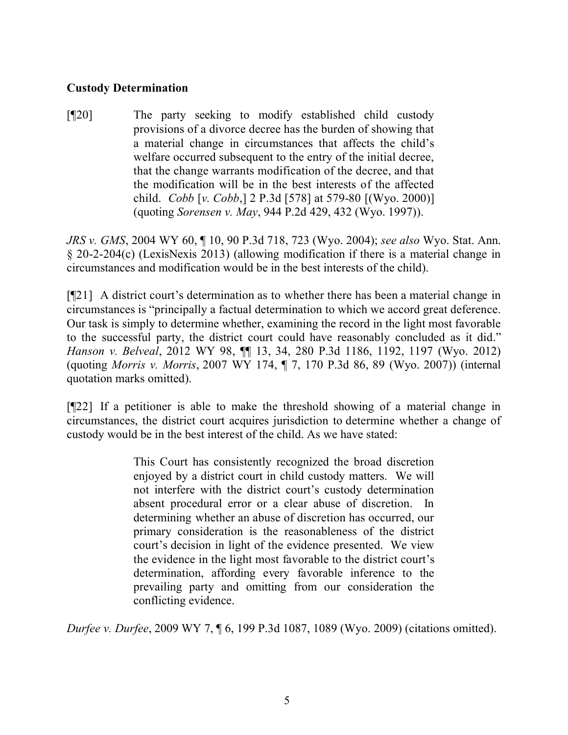#### **Custody Determination**

[¶20] The party seeking to modify established child custody provisions of a divorce decree has the burden of showing that a material change in circumstances that affects the child's welfare occurred subsequent to the entry of the initial decree, that the change warrants modification of the decree, and that the modification will be in the best interests of the affected child. *Cobb* [*v. Cobb*,] 2 P.3d [578] at 579-80 [(Wyo. 2000)] (quoting *Sorensen v. May*, 944 P.2d 429, 432 (Wyo. 1997)).

*JRS v. GMS*, 2004 WY 60, ¶ 10, 90 P.3d 718, 723 (Wyo. 2004); *see also* Wyo. Stat. Ann. § 20-2-204(c) (LexisNexis 2013) (allowing modification if there is a material change in circumstances and modification would be in the best interests of the child).

[¶21] A district court's determination as to whether there has been a material change in circumstances is "principally a factual determination to which we accord great deference. Our task is simply to determine whether, examining the record in the light most favorable to the successful party, the district court could have reasonably concluded as it did." *Hanson v. Belveal*, 2012 WY 98, ¶¶ 13, 34, 280 P.3d 1186, 1192, 1197 (Wyo. 2012) (quoting *Morris v. Morris*, 2007 WY 174, ¶ 7, 170 P.3d 86, 89 (Wyo. 2007)) (internal quotation marks omitted).

[¶22] If a petitioner is able to make the threshold showing of a material change in circumstances, the district court acquires jurisdiction to determine whether a change of custody would be in the best interest of the child. As we have stated:

> This Court has consistently recognized the broad discretion enjoyed by a district court in child custody matters. We will not interfere with the district court's custody determination absent procedural error or a clear abuse of discretion. In determining whether an abuse of discretion has occurred, our primary consideration is the reasonableness of the district court's decision in light of the evidence presented. We view the evidence in the light most favorable to the district court's determination, affording every favorable inference to the prevailing party and omitting from our consideration the conflicting evidence.

*Durfee v. Durfee*, 2009 WY 7, ¶ 6, 199 P.3d 1087, 1089 (Wyo. 2009) (citations omitted).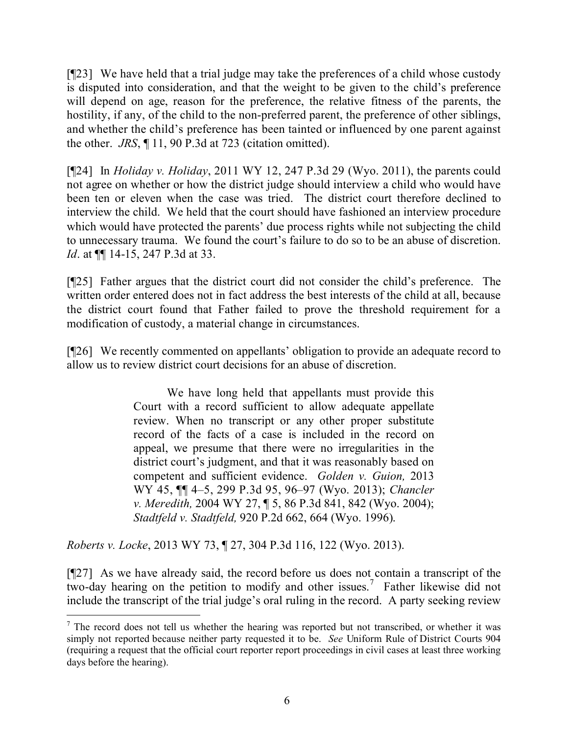[¶23] We have held that a trial judge may take the preferences of a child whose custody is disputed into consideration, and that the weight to be given to the child's preference will depend on age, reason for the preference, the relative fitness of the parents, the hostility, if any, of the child to the non-preferred parent, the preference of other siblings, and whether the child's preference has been tainted or influenced by one parent against the other. *JRS*, ¶ 11, 90 P.3d at 723 (citation omitted).

[¶24] In *Holiday v. Holiday*, 2011 WY 12, 247 P.3d 29 (Wyo. 2011), the parents could not agree on whether or how the district judge should interview a child who would have been ten or eleven when the case was tried. The district court therefore declined to interview the child. We held that the court should have fashioned an interview procedure which would have protected the parents' due process rights while not subjecting the child to unnecessary trauma. We found the court's failure to do so to be an abuse of discretion. *Id.* at  $\P$  14-15, 247 P.3d at 33.

[¶25] Father argues that the district court did not consider the child's preference. The written order entered does not in fact address the best interests of the child at all, because the district court found that Father failed to prove the threshold requirement for a modification of custody, a material change in circumstances.

[¶26] We recently commented on appellants' obligation to provide an adequate record to allow us to review district court decisions for an abuse of discretion.

> We have long held that appellants must provide this Court with a record sufficient to allow adequate appellate review. When no transcript or any other proper substitute record of the facts of a case is included in the record on appeal, we presume that there were no irregularities in the district court's judgment, and that it was reasonably based on competent and sufficient evidence. *Golden v. Guion,* 2013 WY 45, ¶¶ 4–5, 299 P.3d 95, 96–97 (Wyo. 2013); *Chancler v. Meredith,* 2004 WY 27, ¶ 5, 86 P.3d 841, 842 (Wyo. 2004); *Stadtfeld v. Stadtfeld,* 920 P.2d 662, 664 (Wyo. 1996).

*Roberts v. Locke*, 2013 WY 73, ¶ 27, 304 P.3d 116, 122 (Wyo. 2013).

 $\overline{a}$ 

[¶27] As we have already said, the record before us does not contain a transcript of the two-day hearing on the petition to modify and other issues.<sup>7</sup> Father likewise did not include the transcript of the trial judge's oral ruling in the record. A party seeking review

 $<sup>7</sup>$  The record does not tell us whether the hearing was reported but not transcribed, or whether it was</sup> simply not reported because neither party requested it to be. *See* Uniform Rule of District Courts 904 (requiring a request that the official court reporter report proceedings in civil cases at least three working days before the hearing).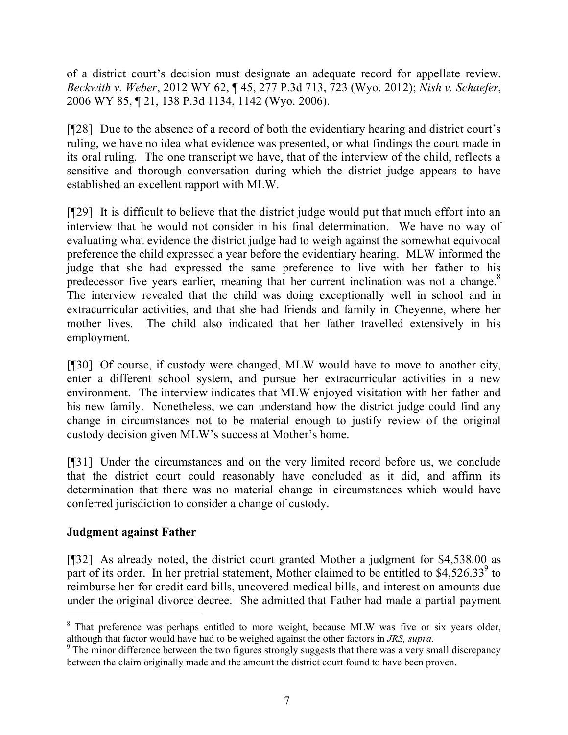of a district court's decision must designate an adequate record for appellate review. *Beckwith v. Weber*, 2012 WY 62, ¶ 45, 277 P.3d 713, 723 (Wyo. 2012); *Nish v. Schaefer*, 2006 WY 85, ¶ 21, 138 P.3d 1134, 1142 (Wyo. 2006).

[¶28] Due to the absence of a record of both the evidentiary hearing and district court's ruling, we have no idea what evidence was presented, or what findings the court made in its oral ruling. The one transcript we have, that of the interview of the child, reflects a sensitive and thorough conversation during which the district judge appears to have established an excellent rapport with MLW.

[¶29] It is difficult to believe that the district judge would put that much effort into an interview that he would not consider in his final determination. We have no way of evaluating what evidence the district judge had to weigh against the somewhat equivocal preference the child expressed a year before the evidentiary hearing. MLW informed the judge that she had expressed the same preference to live with her father to his predecessor five years earlier, meaning that her current inclination was not a change.<sup>8</sup> The interview revealed that the child was doing exceptionally well in school and in extracurricular activities, and that she had friends and family in Cheyenne, where her mother lives. The child also indicated that her father travelled extensively in his employment.

[¶30] Of course, if custody were changed, MLW would have to move to another city, enter a different school system, and pursue her extracurricular activities in a new environment. The interview indicates that MLW enjoyed visitation with her father and his new family. Nonetheless, we can understand how the district judge could find any change in circumstances not to be material enough to justify review of the original custody decision given MLW's success at Mother's home.

[¶31] Under the circumstances and on the very limited record before us, we conclude that the district court could reasonably have concluded as it did, and affirm its determination that there was no material change in circumstances which would have conferred jurisdiction to consider a change of custody.

## **Judgment against Father**

 $\overline{a}$ 

[¶32] As already noted, the district court granted Mother a judgment for \$4,538.00 as part of its order. In her pretrial statement, Mother claimed to be entitled to  $$4,526.33<sup>9</sup>$  to reimburse her for credit card bills, uncovered medical bills, and interest on amounts due under the original divorce decree. She admitted that Father had made a partial payment

<sup>&</sup>lt;sup>8</sup> That preference was perhaps entitled to more weight, because MLW was five or six years older, although that factor would have had to be weighed against the other factors in *JRS, supra*.

<sup>&</sup>lt;sup>9</sup> The minor difference between the two figures strongly suggests that there was a very small discrepancy between the claim originally made and the amount the district court found to have been proven.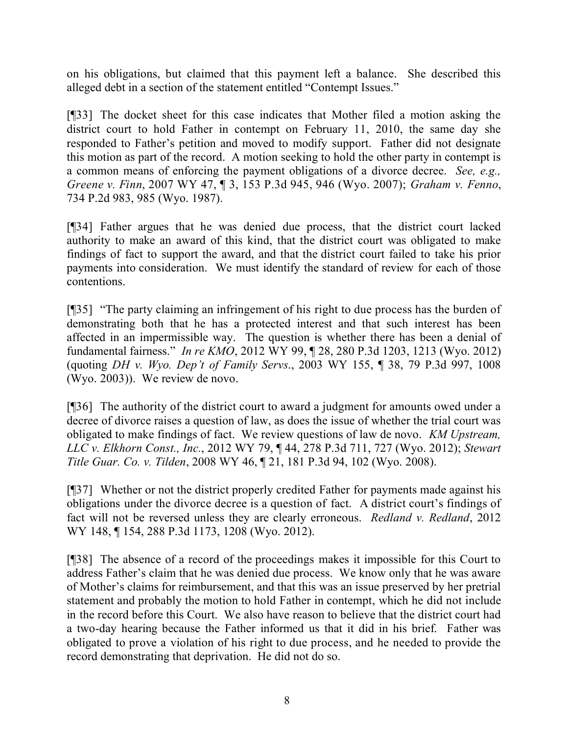on his obligations, but claimed that this payment left a balance. She described this alleged debt in a section of the statement entitled "Contempt Issues."

[¶33] The docket sheet for this case indicates that Mother filed a motion asking the district court to hold Father in contempt on February 11, 2010, the same day she responded to Father's petition and moved to modify support. Father did not designate this motion as part of the record. A motion seeking to hold the other party in contempt is a common means of enforcing the payment obligations of a divorce decree. *See, e.g., Greene v. Finn*, 2007 WY 47, ¶ 3, 153 P.3d 945, 946 (Wyo. 2007); *Graham v. Fenno*, 734 P.2d 983, 985 (Wyo. 1987).

[¶34] Father argues that he was denied due process, that the district court lacked authority to make an award of this kind, that the district court was obligated to make findings of fact to support the award, and that the district court failed to take his prior payments into consideration. We must identify the standard of review for each of those contentions.

[¶35] "The party claiming an infringement of his right to due process has the burden of demonstrating both that he has a protected interest and that such interest has been affected in an impermissible way. The question is whether there has been a denial of fundamental fairness." *In re KMO*, 2012 WY 99, ¶ 28, 280 P.3d 1203, 1213 (Wyo. 2012) (quoting *DH v. Wyo. Dep't of Family Servs*., 2003 WY 155, ¶ 38, 79 P.3d 997, 1008 (Wyo. 2003)). We review de novo.

[¶36] The authority of the district court to award a judgment for amounts owed under a decree of divorce raises a question of law, as does the issue of whether the trial court was obligated to make findings of fact. We review questions of law de novo. *KM Upstream, LLC v. Elkhorn Const., Inc.*, 2012 WY 79, ¶ 44, 278 P.3d 711, 727 (Wyo. 2012); *Stewart Title Guar. Co. v. Tilden*, 2008 WY 46, ¶ 21, 181 P.3d 94, 102 (Wyo. 2008).

[¶37] Whether or not the district properly credited Father for payments made against his obligations under the divorce decree is a question of fact. A district court's findings of fact will not be reversed unless they are clearly erroneous. *Redland v. Redland*, 2012 WY 148, ¶ 154, 288 P.3d 1173, 1208 (Wyo. 2012).

[¶38] The absence of a record of the proceedings makes it impossible for this Court to address Father's claim that he was denied due process. We know only that he was aware of Mother's claims for reimbursement, and that this was an issue preserved by her pretrial statement and probably the motion to hold Father in contempt, which he did not include in the record before this Court. We also have reason to believe that the district court had a two-day hearing because the Father informed us that it did in his brief. Father was obligated to prove a violation of his right to due process, and he needed to provide the record demonstrating that deprivation. He did not do so.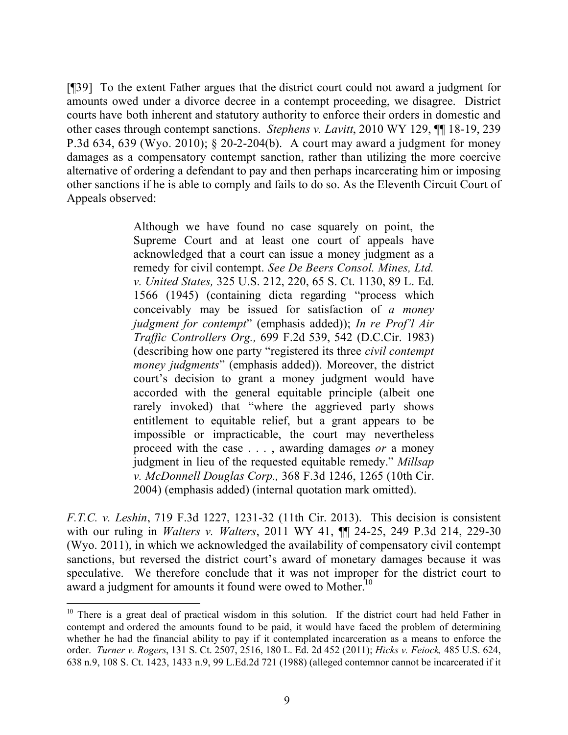[¶39] To the extent Father argues that the district court could not award a judgment for amounts owed under a divorce decree in a contempt proceeding, we disagree. District courts have both inherent and statutory authority to enforce their orders in domestic and other cases through contempt sanctions. *Stephens v. Lavitt*, 2010 WY 129, ¶¶ 18-19, 239 P.3d 634, 639 (Wyo. 2010); § 20-2-204(b). A court may award a judgment for money damages as a compensatory contempt sanction, rather than utilizing the more coercive alternative of ordering a defendant to pay and then perhaps incarcerating him or imposing other sanctions if he is able to comply and fails to do so. As the Eleventh Circuit Court of Appeals observed:

> Although we have found no case squarely on point, the Supreme Court and at least one court of appeals have acknowledged that a court can issue a money judgment as a remedy for civil contempt. *See De Beers Consol. Mines, Ltd. v. United States,* 325 U.S. 212, 220, 65 S. Ct. 1130, 89 L. Ed. 1566 (1945) (containing dicta regarding "process which conceivably may be issued for satisfaction of *a money judgment for contempt*" (emphasis added)); *In re Prof'l Air Traffic Controllers Org.,* 699 F.2d 539, 542 (D.C.Cir. 1983) (describing how one party "registered its three *civil contempt money judgments*" (emphasis added)). Moreover, the district court's decision to grant a money judgment would have accorded with the general equitable principle (albeit one rarely invoked) that "where the aggrieved party shows entitlement to equitable relief, but a grant appears to be impossible or impracticable, the court may nevertheless proceed with the case . . . , awarding damages *or* a money judgment in lieu of the requested equitable remedy." *Millsap v. McDonnell Douglas Corp.,* 368 F.3d 1246, 1265 (10th Cir. 2004) (emphasis added) (internal quotation mark omitted).

*F.T.C. v. Leshin*, 719 F.3d 1227, 1231-32 (11th Cir. 2013). This decision is consistent with our ruling in *Walters v. Walters*, 2011 WY 41, ¶¶ 24-25, 249 P.3d 214, 229-30 (Wyo. 2011), in which we acknowledged the availability of compensatory civil contempt sanctions, but reversed the district court's award of monetary damages because it was speculative. We therefore conclude that it was not improper for the district court to award a judgment for amounts it found were owed to Mother.<sup>10</sup>

<sup>&</sup>lt;sup>10</sup> There is a great deal of practical wisdom in this solution. If the district court had held Father in contempt and ordered the amounts found to be paid, it would have faced the problem of determining whether he had the financial ability to pay if it contemplated incarceration as a means to enforce the order. *Turner v. Rogers*, 131 S. Ct. 2507, 2516, 180 L. Ed. 2d 452 (2011); *Hicks v. Feiock,* 485 U.S. 624, 638 n.9, 108 S. Ct. 1423, 1433 n.9, 99 L.Ed.2d 721 (1988) (alleged contemnor cannot be incarcerated if it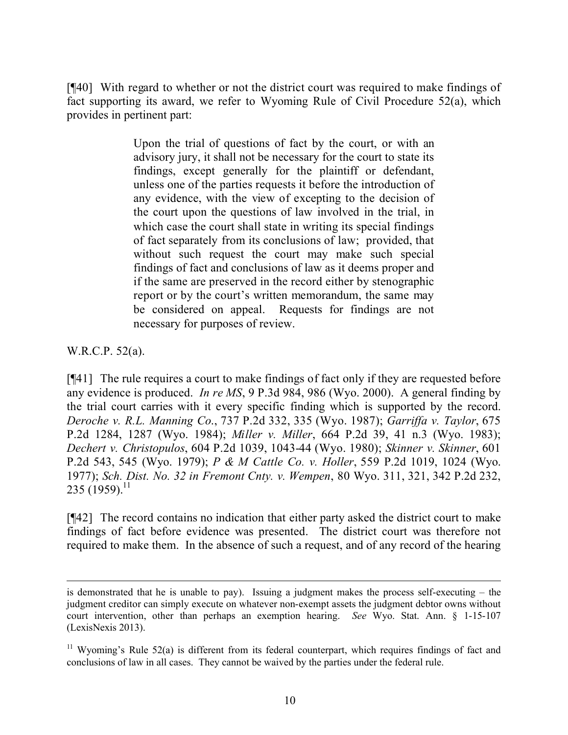[¶40] With regard to whether or not the district court was required to make findings of fact supporting its award, we refer to Wyoming Rule of Civil Procedure 52(a), which provides in pertinent part:

> Upon the trial of questions of fact by the court, or with an advisory jury, it shall not be necessary for the court to state its findings, except generally for the plaintiff or defendant, unless one of the parties requests it before the introduction of any evidence, with the view of excepting to the decision of the court upon the questions of law involved in the trial, in which case the court shall state in writing its special findings of fact separately from its conclusions of law; provided, that without such request the court may make such special findings of fact and conclusions of law as it deems proper and if the same are preserved in the record either by stenographic report or by the court's written memorandum, the same may be considered on appeal. Requests for findings are not necessary for purposes of review.

W.R.C.P. 52(a).

 $\overline{a}$ 

[¶41] The rule requires a court to make findings of fact only if they are requested before any evidence is produced. *In re MS*, 9 P.3d 984, 986 (Wyo. 2000). A general finding by the trial court carries with it every specific finding which is supported by the record. *Deroche v. R.L. Manning Co*., 737 P.2d 332, 335 (Wyo. 1987); *Garriffa v. Taylor*, 675 P.2d 1284, 1287 (Wyo. 1984); *Miller v. Miller*, 664 P.2d 39, 41 n.3 (Wyo. 1983); *Dechert v. Christopulos*, 604 P.2d 1039, 1043-44 (Wyo. 1980); *Skinner v. Skinner*, 601 P.2d 543, 545 (Wyo. 1979); *P & M Cattle Co. v. Holler*, 559 P.2d 1019, 1024 (Wyo. 1977); *Sch. Dist. No. 32 in Fremont Cnty. v. Wempen*, 80 Wyo. 311, 321, 342 P.2d 232, 235 (1959).<sup>11</sup>

[¶42] The record contains no indication that either party asked the district court to make findings of fact before evidence was presented. The district court was therefore not required to make them. In the absence of such a request, and of any record of the hearing

is demonstrated that he is unable to pay). Issuing a judgment makes the process self-executing – the judgment creditor can simply execute on whatever non-exempt assets the judgment debtor owns without court intervention, other than perhaps an exemption hearing. *See* Wyo. Stat. Ann. § 1-15-107 (LexisNexis 2013).

<sup>&</sup>lt;sup>11</sup> Wyoming's Rule 52(a) is different from its federal counterpart, which requires findings of fact and conclusions of law in all cases. They cannot be waived by the parties under the federal rule.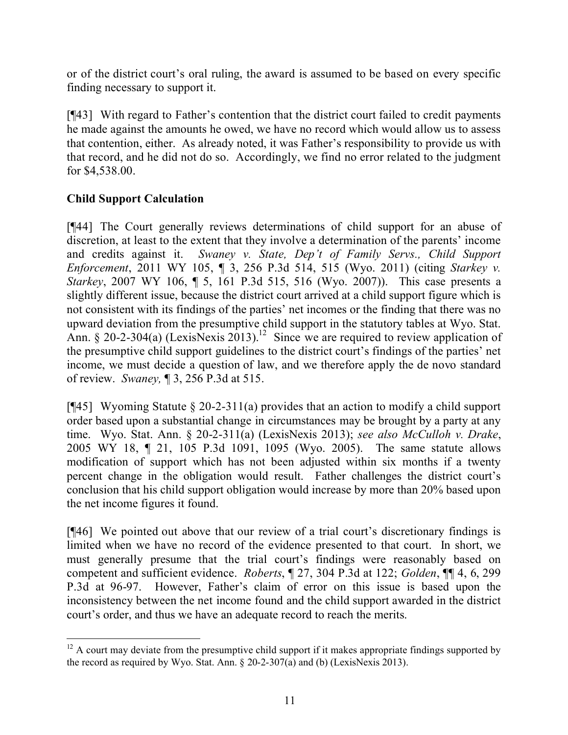or of the district court's oral ruling, the award is assumed to be based on every specific finding necessary to support it.

[¶43] With regard to Father's contention that the district court failed to credit payments he made against the amounts he owed, we have no record which would allow us to assess that contention, either. As already noted, it was Father's responsibility to provide us with that record, and he did not do so. Accordingly, we find no error related to the judgment for \$4,538.00.

# **Child Support Calculation**

[¶44] The Court generally reviews determinations of child support for an abuse of discretion, at least to the extent that they involve a determination of the parents' income and credits against it. *Swaney v. State, Dep't of Family Servs., Child Support Enforcement*, 2011 WY 105, ¶ 3, 256 P.3d 514, 515 (Wyo. 2011) (citing *Starkey v. Starkey*, 2007 WY 106, ¶ 5, 161 P.3d 515, 516 (Wyo. 2007)). This case presents a slightly different issue, because the district court arrived at a child support figure which is not consistent with its findings of the parties' net incomes or the finding that there was no upward deviation from the presumptive child support in the statutory tables at Wyo. Stat. Ann. § 20-2-304(a) (LexisNexis 2013).<sup>12</sup> Since we are required to review application of the presumptive child support guidelines to the district court's findings of the parties' net income, we must decide a question of law, and we therefore apply the de novo standard of review. *Swaney,* ¶ 3, 256 P.3d at 515.

[ $[45]$ ] Wyoming Statute § 20-2-311(a) provides that an action to modify a child support order based upon a substantial change in circumstances may be brought by a party at any time. Wyo. Stat. Ann. § 20-2-311(a) (LexisNexis 2013); *see also McCulloh v. Drake*, 2005 WY 18, ¶ 21, 105 P.3d 1091, 1095 (Wyo. 2005). The same statute allows modification of support which has not been adjusted within six months if a twenty percent change in the obligation would result. Father challenges the district court's conclusion that his child support obligation would increase by more than 20% based upon the net income figures it found.

[¶46] We pointed out above that our review of a trial court's discretionary findings is limited when we have no record of the evidence presented to that court. In short, we must generally presume that the trial court's findings were reasonably based on competent and sufficient evidence. *Roberts*, ¶ 27, 304 P.3d at 122; *Golden*, ¶¶ 4, 6, 299 P.3d at 96-97. However, Father's claim of error on this issue is based upon the inconsistency between the net income found and the child support awarded in the district court's order, and thus we have an adequate record to reach the merits.

 $12$  A court may deviate from the presumptive child support if it makes appropriate findings supported by the record as required by Wyo. Stat. Ann. § 20-2-307(a) and (b) (LexisNexis 2013).